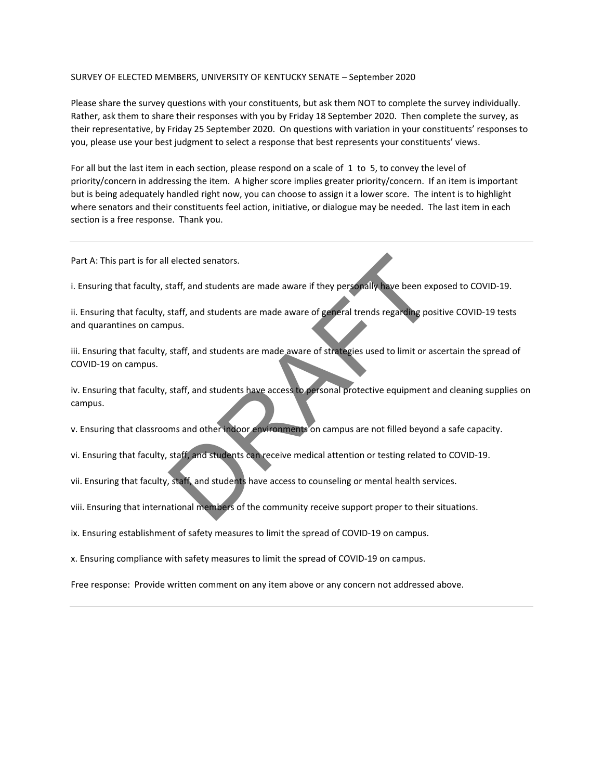## SURVEY OF ELECTED MEMBERS, UNIVERSITY OF KENTUCKY SENATE – September 2020

Please share the survey questions with your constituents, but ask them NOT to complete the survey individually. Rather, ask them to share their responses with you by Friday 18 September 2020. Then complete the survey, as their representative, by Friday 25 September 2020. On questions with variation in your constituents' responses to you, please use your best judgment to select a response that best represents your constituents' views.

For all but the last item in each section, please respond on a scale of 1 to 5, to convey the level of priority/concern in addressing the item. A higher score implies greater priority/concern. If an item is important but is being adequately handled right now, you can choose to assign it a lower score. The intent is to highlight where senators and their constituents feel action, initiative, or dialogue may be needed. The last item in each section is a free response. Thank you.

Part A: This part is for all elected senators.

i. Ensuring that faculty, staff, and students are made aware if they personally have been exposed to COVID-19.

ii. Ensuring that faculty, staff, and students are made aware of general trends regarding positive COVID-19 tests and quarantines on campus. Proposed and the set of the community proposed and the set of the set of the set of the set of the set of the set of the set of the set of the set of the set of the set of the set of the set of the set of the set of the se

iii. Ensuring that faculty, staff, and students are made aware of strategies used to limit or ascertain the spread of COVID-19 on campus.

iv. Ensuring that faculty, staff, and students have access to personal protective equipment and cleaning supplies on campus.

v. Ensuring that classrooms and other indoor environments on campus are not filled beyond a safe capacity.

vi. Ensuring that faculty, staff, and students can receive medical attention or testing related to COVID-19.

vii. Ensuring that faculty, staff, and students have access to counseling or mental health services.

viii. Ensuring that international members of the community receive support proper to their situations.

ix. Ensuring establishment of safety measures to limit the spread of COVID-19 on campus.

x. Ensuring compliance with safety measures to limit the spread of COVID-19 on campus.

Free response: Provide written comment on any item above or any concern not addressed above.